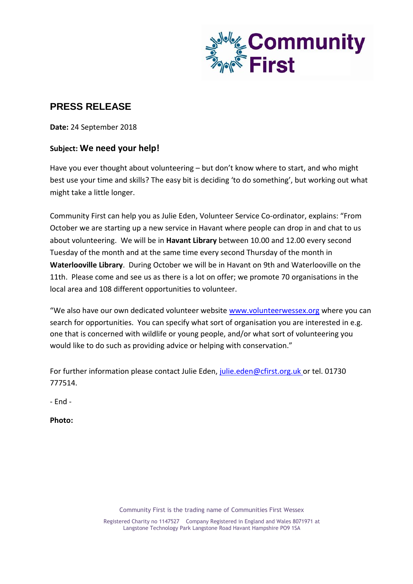

## **PRESS RELEASE**

**Date:** 24 September 2018

## **Subject: We need your help!**

Have you ever thought about volunteering – but don't know where to start, and who might best use your time and skills? The easy bit is deciding 'to do something', but working out what might take a little longer.

Community First can help you as Julie Eden, Volunteer Service Co-ordinator, explains: "From October we are starting up a new service in Havant where people can drop in and chat to us about volunteering. We will be in **Havant Library** between 10.00 and 12.00 every second Tuesday of the month and at the same time every second Thursday of the month in **Waterlooville Library**. During October we will be in Havant on 9th and Waterlooville on the 11th. Please come and see us as there is a lot on offer; we promote 70 organisations in the local area and 108 different opportunities to volunteer.

"We also have our own dedicated volunteer website [www.volunteerwessex.org](http://www.volunteerwessex.org/) where you can search for opportunities. You can specify what sort of organisation you are interested in e.g. one that is concerned with wildlife or young people, and/or what sort of volunteering you would like to do such as providing advice or helping with conservation."

For further information please contact Julie Eden, [julie.eden@cfirst.org.uk](mailto:julie.eden@cfirst.org.uk) or tel. 01730 777514.

- End -

**Photo:**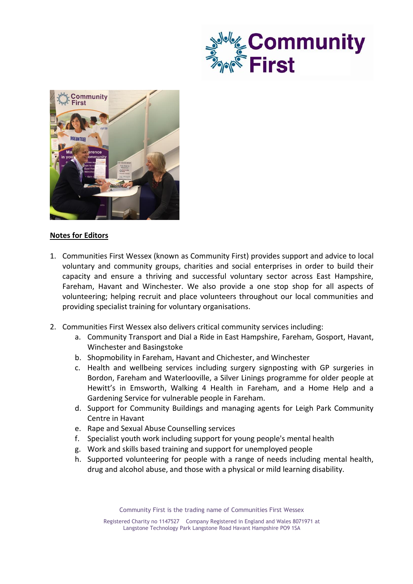



## **Notes for Editors**

- 1. Communities First Wessex (known as Community First) provides support and advice to local voluntary and community groups, charities and social enterprises in order to build their capacity and ensure a thriving and successful voluntary sector across East Hampshire, Fareham, Havant and Winchester. We also provide a one stop shop for all aspects of volunteering; helping recruit and place volunteers throughout our local communities and providing specialist training for voluntary organisations.
- 2. Communities First Wessex also delivers critical community services including:
	- a. Community Transport and Dial a Ride in East Hampshire, Fareham, Gosport, Havant, Winchester and Basingstoke
	- b. Shopmobility in Fareham, Havant and Chichester, and Winchester
	- c. Health and wellbeing services including surgery signposting with GP surgeries in Bordon, Fareham and Waterlooville, a Silver Linings programme for older people at Hewitt's in Emsworth, Walking 4 Health in Fareham, and a Home Help and a Gardening Service for vulnerable people in Fareham.
	- d. Support for Community Buildings and managing agents for Leigh Park Community Centre in Havant
	- e. Rape and Sexual Abuse Counselling services
	- f. Specialist youth work including support for young people's mental health
	- g. Work and skills based training and support for unemployed people
	- h. Supported volunteering for people with a range of needs including mental health, drug and alcohol abuse, and those with a physical or mild learning disability.

Community First is the trading name of Communities First Wessex

Registered Charity no 1147527 Company Registered in England and Wales 8071971 at Langstone Technology Park Langstone Road Havant Hampshire PO9 1SA